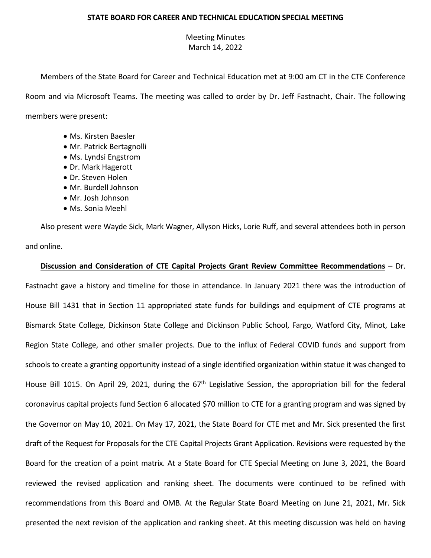## **STATE BOARD FOR CAREER AND TECHNICAL EDUCATION SPECIAL MEETING**

## Meeting Minutes March 14, 2022

Members of the State Board for Career and Technical Education met at 9:00 am CT in the CTE Conference Room and via Microsoft Teams. The meeting was called to order by Dr. Jeff Fastnacht, Chair. The following members were present:

- Ms. Kirsten Baesler
- Mr. Patrick Bertagnolli
- Ms. Lyndsi Engstrom
- Dr. Mark Hagerott
- Dr. Steven Holen
- Mr. Burdell Johnson
- Mr. Josh Johnson
- Ms. Sonia Meehl

Also present were Wayde Sick, Mark Wagner, Allyson Hicks, Lorie Ruff, and several attendees both in person and online.

## **Discussion and Consideration of CTE Capital Projects Grant Review Committee Recommendations** – Dr.

Fastnacht gave a history and timeline for those in attendance. In January 2021 there was the introduction of House Bill 1431 that in Section 11 appropriated state funds for buildings and equipment of CTE programs at Bismarck State College, Dickinson State College and Dickinson Public School, Fargo, Watford City, Minot, Lake Region State College, and other smaller projects. Due to the influx of Federal COVID funds and support from schools to create a granting opportunity instead of a single identified organization within statue it was changed to House Bill 1015. On April 29, 2021, during the 67<sup>th</sup> Legislative Session, the appropriation bill for the federal coronavirus capital projects fund Section 6 allocated \$70 million to CTE for a granting program and was signed by the Governor on May 10, 2021. On May 17, 2021, the State Board for CTE met and Mr. Sick presented the first draft of the Request for Proposals for the CTE Capital Projects Grant Application. Revisions were requested by the Board for the creation of a point matrix. At a State Board for CTE Special Meeting on June 3, 2021, the Board reviewed the revised application and ranking sheet. The documents were continued to be refined with recommendations from this Board and OMB. At the Regular State Board Meeting on June 21, 2021, Mr. Sick presented the next revision of the application and ranking sheet. At this meeting discussion was held on having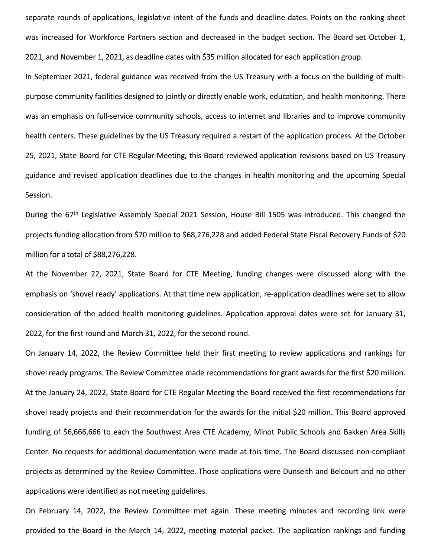separate rounds of applications, legislative intent of the funds and deadline dates. Points on the ranking sheet was increased for Workforce Partners section and decreased in the budget section. The Board set October 1, 2021, and November 1, 2021, as deadline dates with \$35 million allocated for each application group.

In September 2021, federal guidance was received from the US Treasury with a focus on the building of multipurpose community facilities designed to jointly or directly enable work, education, and health monitoring. There was an emphasis on full-service community schools, access to internet and libraries and to improve community health centers. These guidelines by the US Treasury required a restart of the application process. At the October 25, 2021, State Board for CTE Regular Meeting, this Board reviewed application revisions based on US Treasury guidance and revised application deadlines due to the changes in health monitoring and the upcoming Special Session.

During the 67<sup>th</sup> Legislative Assembly Special 2021 Session, House Bill 1505 was introduced. This changed the projects funding allocation from \$70 million to \$68,276,228 and added Federal State Fiscal Recovery Funds of \$20 million for a total of \$88,276,228.

At the November 22, 2021, State Board for CTE Meeting, funding changes were discussed along with the emphasis on 'shovel ready' applications. At that time new application, re-application deadlines were set to allow consideration of the added health monitoring guidelines. Application approval dates were set for January 31, 2022, for the first round and March 31, 2022, for the second round.

On January 14, 2022, the Review Committee held their first meeting to review applications and rankings for shovel ready programs. The Review Committee made recommendations for grant awards for the first \$20 million. At the January 24, 2022, State Board for CTE Regular Meeting the Board received the first recommendations for shovel ready projects and their recommendation for the awards for the initial \$20 million. This Board approved funding of \$6,666,666 to each the Southwest Area CTE Academy, Minot Public Schools and Bakken Area Skills Center. No requests for additional documentation were made at this time. The Board discussed non-compliant projects as determined by the Review Committee. Those applications were Dunseith and Belcourt and no other applications were identified as not meeting guidelines.

On February 14, 2022, the Review Committee met again. These meeting minutes and recording link were provided to the Board in the March 14, 2022, meeting material packet. The application rankings and funding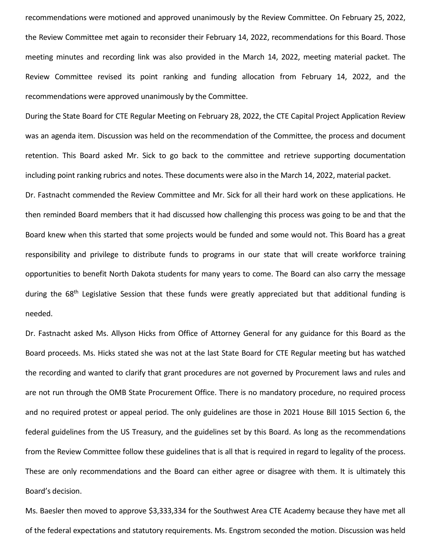recommendations were motioned and approved unanimously by the Review Committee. On February 25, 2022, the Review Committee met again to reconsider their February 14, 2022, recommendations for this Board. Those meeting minutes and recording link was also provided in the March 14, 2022, meeting material packet. The Review Committee revised its point ranking and funding allocation from February 14, 2022, and the recommendations were approved unanimously by the Committee.

During the State Board for CTE Regular Meeting on February 28, 2022, the CTE Capital Project Application Review was an agenda item. Discussion was held on the recommendation of the Committee, the process and document retention. This Board asked Mr. Sick to go back to the committee and retrieve supporting documentation including point ranking rubrics and notes. These documents were also in the March 14, 2022, material packet. Dr. Fastnacht commended the Review Committee and Mr. Sick for all their hard work on these applications. He then reminded Board members that it had discussed how challenging this process was going to be and that the Board knew when this started that some projects would be funded and some would not. This Board has a great responsibility and privilege to distribute funds to programs in our state that will create workforce training opportunities to benefit North Dakota students for many years to come. The Board can also carry the message during the 68<sup>th</sup> Legislative Session that these funds were greatly appreciated but that additional funding is needed.

Dr. Fastnacht asked Ms. Allyson Hicks from Office of Attorney General for any guidance for this Board as the Board proceeds. Ms. Hicks stated she was not at the last State Board for CTE Regular meeting but has watched the recording and wanted to clarify that grant procedures are not governed by Procurement laws and rules and are not run through the OMB State Procurement Office. There is no mandatory procedure, no required process and no required protest or appeal period. The only guidelines are those in 2021 House Bill 1015 Section 6, the federal guidelines from the US Treasury, and the guidelines set by this Board. As long as the recommendations from the Review Committee follow these guidelines that is all that is required in regard to legality of the process. These are only recommendations and the Board can either agree or disagree with them. It is ultimately this Board's decision.

Ms. Baesler then moved to approve \$3,333,334 for the Southwest Area CTE Academy because they have met all of the federal expectations and statutory requirements. Ms. Engstrom seconded the motion. Discussion was held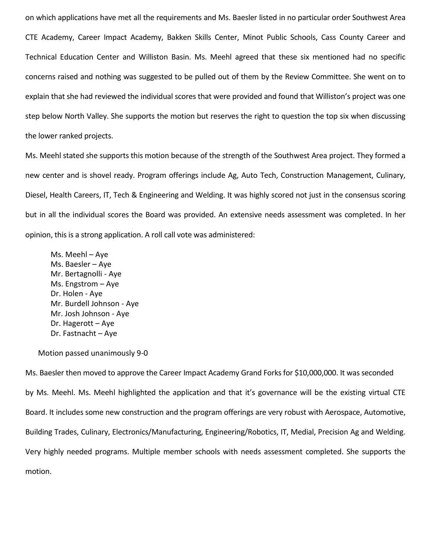on which applications have met all the requirements and Ms. Baesler listed in no particular order Southwest Area CTE Academy, Career Impact Academy, Bakken Skills Center, Minot Public Schools, Cass County Career and Technical Education Center and Williston Basin. Ms. Meehl agreed that these six mentioned had no specific concerns raised and nothing was suggested to be pulled out of them by the Review Committee. She went on to explain that she had reviewed the individual scores that were provided and found that Williston's project was one step below North Valley. She supports the motion but reserves the right to question the top six when discussing the lower ranked projects.

Ms. Meehl stated she supports this motion because of the strength of the Southwest Area project. They formed a new center and is shovel ready. Program offerings include Ag, Auto Tech, Construction Management, Culinary, Diesel, Health Careers, IT, Tech & Engineering and Welding. It was highly scored not just in the consensus scoring but in all the individual scores the Board was provided. An extensive needs assessment was completed. In her opinion, this is a strong application. A roll call vote was administered:

Ms. Meehl – Aye Ms. Baesler – Aye Mr. Bertagnolli - Aye Ms. Engstrom – Aye Dr. Holen - Aye Mr. Burdell Johnson - Aye Mr. Josh Johnson - Aye Dr. Hagerott – Aye Dr. Fastnacht – Aye

Motion passed unanimously 9-0

Ms. Baesler then moved to approve the Career Impact Academy Grand Forks for \$10,000,000. It was seconded by Ms. Meehl. Ms. Meehl highlighted the application and that it's governance will be the existing virtual CTE Board. It includes some new construction and the program offerings are very robust with Aerospace, Automotive, Building Trades, Culinary, Electronics/Manufacturing, Engineering/Robotics, IT, Medial, Precision Ag and Welding. Very highly needed programs. Multiple member schools with needs assessment completed. She supports the motion.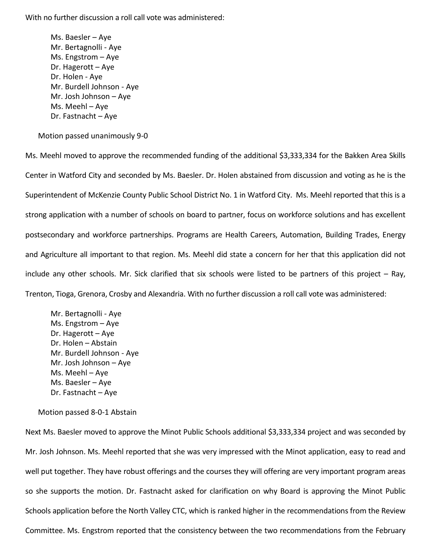Ms. Baesler – Aye Mr. Bertagnolli - Aye Ms. Engstrom – Aye Dr. Hagerott – Aye Dr. Holen - Aye Mr. Burdell Johnson - Aye Mr. Josh Johnson – Aye Ms. Meehl – Aye Dr. Fastnacht – Aye

Motion passed unanimously 9-0

Ms. Meehl moved to approve the recommended funding of the additional \$3,333,334 for the Bakken Area Skills Center in Watford City and seconded by Ms. Baesler. Dr. Holen abstained from discussion and voting as he is the Superintendent of McKenzie County Public School District No. 1 in Watford City. Ms. Meehl reported that this is a strong application with a number of schools on board to partner, focus on workforce solutions and has excellent postsecondary and workforce partnerships. Programs are Health Careers, Automation, Building Trades, Energy and Agriculture all important to that region. Ms. Meehl did state a concern for her that this application did not include any other schools. Mr. Sick clarified that six schools were listed to be partners of this project – Ray, Trenton, Tioga, Grenora, Crosby and Alexandria. With no further discussion a roll call vote was administered:

Mr. Bertagnolli - Aye Ms. Engstrom – Aye Dr. Hagerott – Aye Dr. Holen – Abstain Mr. Burdell Johnson - Aye Mr. Josh Johnson – Aye Ms. Meehl – Aye Ms. Baesler – Aye Dr. Fastnacht – Aye

Motion passed 8-0-1 Abstain

Next Ms. Baesler moved to approve the Minot Public Schools additional \$3,333,334 project and was seconded by Mr. Josh Johnson. Ms. Meehl reported that she was very impressed with the Minot application, easy to read and well put together. They have robust offerings and the courses they will offering are very important program areas so she supports the motion. Dr. Fastnacht asked for clarification on why Board is approving the Minot Public Schools application before the North Valley CTC, which is ranked higher in the recommendations from the Review Committee. Ms. Engstrom reported that the consistency between the two recommendations from the February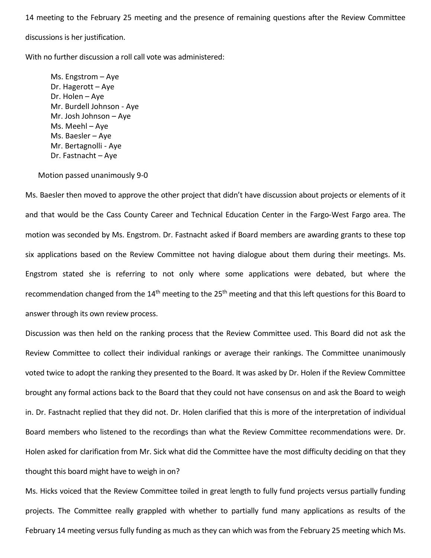14 meeting to the February 25 meeting and the presence of remaining questions after the Review Committee

discussions is her justification.

With no further discussion a roll call vote was administered:

Ms. Engstrom – Aye Dr. Hagerott – Aye Dr. Holen – Aye Mr. Burdell Johnson - Aye Mr. Josh Johnson – Aye Ms. Meehl – Aye Ms. Baesler – Aye Mr. Bertagnolli - Aye Dr. Fastnacht – Aye

Motion passed unanimously 9-0

Ms. Baesler then moved to approve the other project that didn't have discussion about projects or elements of it and that would be the Cass County Career and Technical Education Center in the Fargo-West Fargo area. The motion was seconded by Ms. Engstrom. Dr. Fastnacht asked if Board members are awarding grants to these top six applications based on the Review Committee not having dialogue about them during their meetings. Ms. Engstrom stated she is referring to not only where some applications were debated, but where the recommendation changed from the 14<sup>th</sup> meeting to the 25<sup>th</sup> meeting and that this left questions for this Board to answer through its own review process.

Discussion was then held on the ranking process that the Review Committee used. This Board did not ask the Review Committee to collect their individual rankings or average their rankings. The Committee unanimously voted twice to adopt the ranking they presented to the Board. It was asked by Dr. Holen if the Review Committee brought any formal actions back to the Board that they could not have consensus on and ask the Board to weigh in. Dr. Fastnacht replied that they did not. Dr. Holen clarified that this is more of the interpretation of individual Board members who listened to the recordings than what the Review Committee recommendations were. Dr. Holen asked for clarification from Mr. Sick what did the Committee have the most difficulty deciding on that they thought this board might have to weigh in on?

Ms. Hicks voiced that the Review Committee toiled in great length to fully fund projects versus partially funding projects. The Committee really grappled with whether to partially fund many applications as results of the February 14 meeting versus fully funding as much as they can which was from the February 25 meeting which Ms.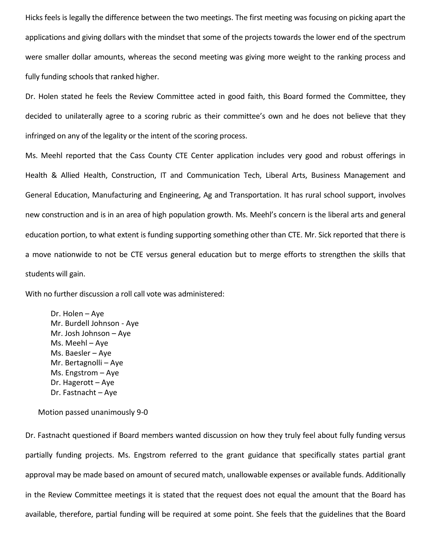Hicks feels is legally the difference between the two meetings. The first meeting was focusing on picking apart the applications and giving dollars with the mindset that some of the projects towards the lower end of the spectrum were smaller dollar amounts, whereas the second meeting was giving more weight to the ranking process and fully funding schools that ranked higher.

Dr. Holen stated he feels the Review Committee acted in good faith, this Board formed the Committee, they decided to unilaterally agree to a scoring rubric as their committee's own and he does not believe that they infringed on any of the legality or the intent of the scoring process.

Ms. Meehl reported that the Cass County CTE Center application includes very good and robust offerings in Health & Allied Health, Construction, IT and Communication Tech, Liberal Arts, Business Management and General Education, Manufacturing and Engineering, Ag and Transportation. It has rural school support, involves new construction and is in an area of high population growth. Ms. Meehl's concern is the liberal arts and general education portion, to what extent is funding supporting something other than CTE. Mr. Sick reported that there is a move nationwide to not be CTE versus general education but to merge efforts to strengthen the skills that students will gain.

With no further discussion a roll call vote was administered:

Dr. Holen – Aye Mr. Burdell Johnson - Aye Mr. Josh Johnson – Aye Ms. Meehl – Aye Ms. Baesler – Aye Mr. Bertagnolli – Aye Ms. Engstrom – Aye Dr. Hagerott – Aye Dr. Fastnacht – Aye

Motion passed unanimously 9-0

Dr. Fastnacht questioned if Board members wanted discussion on how they truly feel about fully funding versus partially funding projects. Ms. Engstrom referred to the grant guidance that specifically states partial grant approval may be made based on amount of secured match, unallowable expenses or available funds. Additionally in the Review Committee meetings it is stated that the request does not equal the amount that the Board has available, therefore, partial funding will be required at some point. She feels that the guidelines that the Board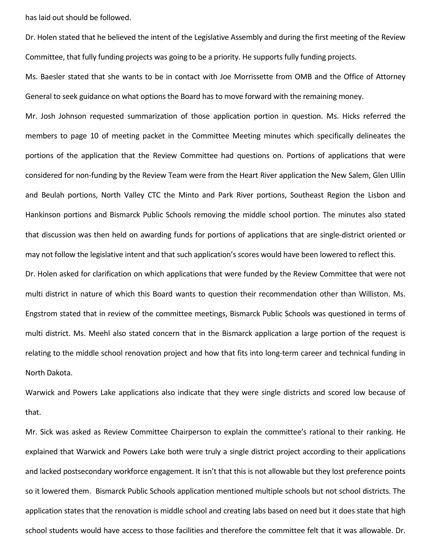has laid out should be followed.

Dr. Holen stated that he believed the intent of the Legislative Assembly and during the first meeting of the Review Committee, that fully funding projects was going to be a priority. He supports fully funding projects.

Ms. Baesler stated that she wants to be in contact with Joe Morrissette from OMB and the Office of Attorney General to seek guidance on what options the Board has to move forward with the remaining money.

Mr. Josh Johnson requested summarization of those application portion in question. Ms. Hicks referred the members to page 10 of meeting packet in the Committee Meeting minutes which specifically delineates the portions of the application that the Review Committee had questions on. Portions of applications that were considered for non-funding by the Review Team were from the Heart River application the New Salem, Glen Ullin and Beulah portions, North Valley CTC the Minto and Park River portions, Southeast Region the Lisbon and Hankinson portions and Bismarck Public Schools removing the middle school portion. The minutes also stated that discussion was then held on awarding funds for portions of applications that are single-district oriented or may not follow the legislative intent and that such application's scores would have been lowered to reflect this. Dr. Holen asked for clarification on which applications that were funded by the Review Committee that were not multi district in nature of which this Board wants to question their recommendation other than Williston. Ms. Engstrom stated that in review of the committee meetings, Bismarck Public Schools was questioned in terms of multi district. Ms. Meehl also stated concern that in the Bismarck application a large portion of the request is relating to the middle school renovation project and how that fits into long-term career and technical funding in North Dakota.

Warwick and Powers Lake applications also indicate that they were single districts and scored low because of that.

Mr. Sick was asked as Review Committee Chairperson to explain the committee's rational to their ranking. He explained that Warwick and Powers Lake both were truly a single district project according to their applications and lacked postsecondary workforce engagement. It isn't that this is not allowable but they lost preference points so it lowered them. Bismarck Public Schools application mentioned multiple schools but not school districts. The application states that the renovation is middle school and creating labs based on need but it does state that high school students would have access to those facilities and therefore the committee felt that it was allowable. Dr.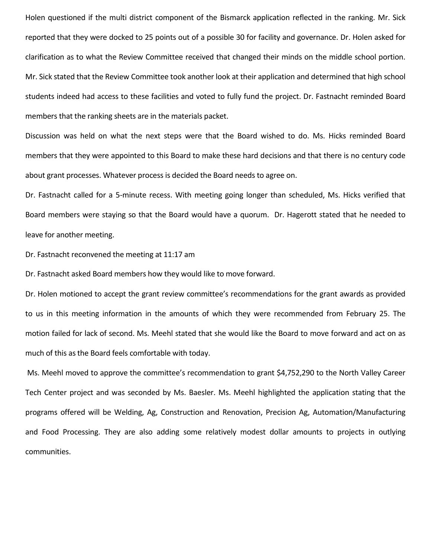Holen questioned if the multi district component of the Bismarck application reflected in the ranking. Mr. Sick reported that they were docked to 25 points out of a possible 30 for facility and governance. Dr. Holen asked for clarification as to what the Review Committee received that changed their minds on the middle school portion. Mr. Sick stated that the Review Committee took another look at their application and determined that high school students indeed had access to these facilities and voted to fully fund the project. Dr. Fastnacht reminded Board members that the ranking sheets are in the materials packet.

Discussion was held on what the next steps were that the Board wished to do. Ms. Hicks reminded Board members that they were appointed to this Board to make these hard decisions and that there is no century code about grant processes. Whatever process is decided the Board needs to agree on.

Dr. Fastnacht called for a 5-minute recess. With meeting going longer than scheduled, Ms. Hicks verified that Board members were staying so that the Board would have a quorum. Dr. Hagerott stated that he needed to leave for another meeting.

Dr. Fastnacht reconvened the meeting at 11:17 am

Dr. Fastnacht asked Board members how they would like to move forward.

Dr. Holen motioned to accept the grant review committee's recommendations for the grant awards as provided to us in this meeting information in the amounts of which they were recommended from February 25. The motion failed for lack of second. Ms. Meehl stated that she would like the Board to move forward and act on as much of this as the Board feels comfortable with today.

Ms. Meehl moved to approve the committee's recommendation to grant \$4,752,290 to the North Valley Career Tech Center project and was seconded by Ms. Baesler. Ms. Meehl highlighted the application stating that the programs offered will be Welding, Ag, Construction and Renovation, Precision Ag, Automation/Manufacturing and Food Processing. They are also adding some relatively modest dollar amounts to projects in outlying communities.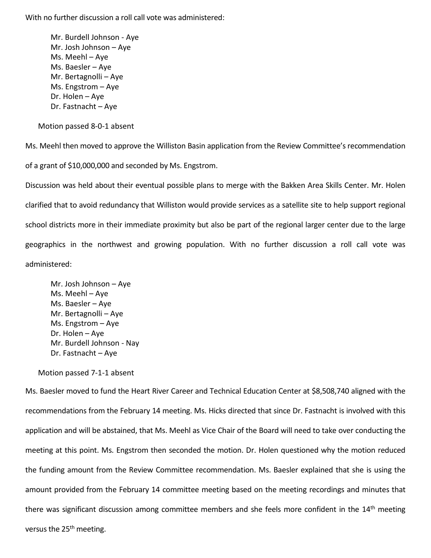Mr. Burdell Johnson - Aye Mr. Josh Johnson – Aye Ms. Meehl – Aye Ms. Baesler – Aye Mr. Bertagnolli – Aye Ms. Engstrom – Aye Dr. Holen – Aye Dr. Fastnacht – Aye

Motion passed 8-0-1 absent

Ms. Meehl then moved to approve the Williston Basin application from the Review Committee's recommendation

of a grant of \$10,000,000 and seconded by Ms. Engstrom.

Discussion was held about their eventual possible plans to merge with the Bakken Area Skills Center. Mr. Holen clarified that to avoid redundancy that Williston would provide services as a satellite site to help support regional school districts more in their immediate proximity but also be part of the regional larger center due to the large geographics in the northwest and growing population. With no further discussion a roll call vote was administered:

Mr. Josh Johnson – Aye Ms. Meehl – Aye Ms. Baesler – Aye Mr. Bertagnolli – Aye Ms. Engstrom – Aye Dr. Holen – Aye Mr. Burdell Johnson - Nay Dr. Fastnacht – Aye

Motion passed 7-1-1 absent

Ms. Baesler moved to fund the Heart River Career and Technical Education Center at \$8,508,740 aligned with the recommendations from the February 14 meeting. Ms. Hicks directed that since Dr. Fastnacht is involved with this application and will be abstained, that Ms. Meehl as Vice Chair of the Board will need to take over conducting the meeting at this point. Ms. Engstrom then seconded the motion. Dr. Holen questioned why the motion reduced the funding amount from the Review Committee recommendation. Ms. Baesler explained that she is using the amount provided from the February 14 committee meeting based on the meeting recordings and minutes that there was significant discussion among committee members and she feels more confident in the 14<sup>th</sup> meeting versus the 25<sup>th</sup> meeting.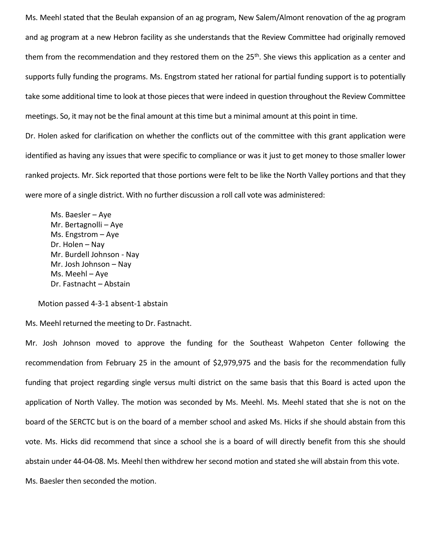Ms. Meehl stated that the Beulah expansion of an ag program, New Salem/Almont renovation of the ag program and ag program at a new Hebron facility as she understands that the Review Committee had originally removed them from the recommendation and they restored them on the 25<sup>th</sup>. She views this application as a center and supports fully funding the programs. Ms. Engstrom stated her rational for partial funding support is to potentially take some additional time to look at those pieces that were indeed in question throughout the Review Committee meetings. So, it may not be the final amount at this time but a minimal amount at this point in time. Dr. Holen asked for clarification on whether the conflicts out of the committee with this grant application were identified as having any issues that were specific to compliance or was it just to get money to those smaller lower

ranked projects. Mr. Sick reported that those portions were felt to be like the North Valley portions and that they

were more of a single district. With no further discussion a roll call vote was administered:

Ms. Baesler – Aye Mr. Bertagnolli – Aye Ms. Engstrom – Aye Dr. Holen – Nay Mr. Burdell Johnson - Nay Mr. Josh Johnson – Nay Ms. Meehl – Aye Dr. Fastnacht – Abstain

Motion passed 4-3-1 absent-1 abstain

Ms. Meehl returned the meeting to Dr. Fastnacht.

Mr. Josh Johnson moved to approve the funding for the Southeast Wahpeton Center following the recommendation from February 25 in the amount of \$2,979,975 and the basis for the recommendation fully funding that project regarding single versus multi district on the same basis that this Board is acted upon the application of North Valley. The motion was seconded by Ms. Meehl. Ms. Meehl stated that she is not on the board of the SERCTC but is on the board of a member school and asked Ms. Hicks if she should abstain from this vote. Ms. Hicks did recommend that since a school she is a board of will directly benefit from this she should abstain under 44-04-08. Ms. Meehl then withdrew her second motion and stated she will abstain from this vote. Ms. Baesler then seconded the motion.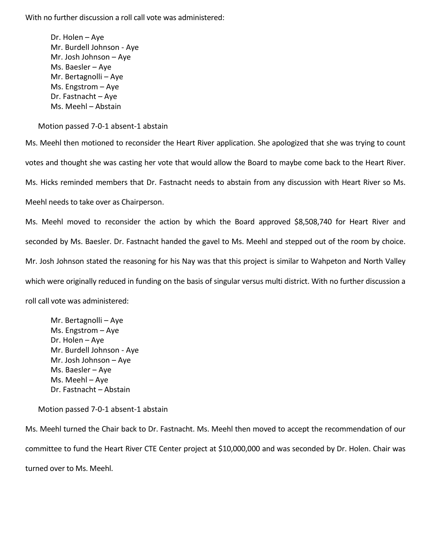Dr. Holen – Aye Mr. Burdell Johnson - Aye Mr. Josh Johnson – Aye Ms. Baesler – Aye Mr. Bertagnolli – Aye Ms. Engstrom – Aye Dr. Fastnacht – Aye Ms. Meehl – Abstain

Motion passed 7-0-1 absent-1 abstain

Ms. Meehl then motioned to reconsider the Heart River application. She apologized that she was trying to count votes and thought she was casting her vote that would allow the Board to maybe come back to the Heart River. Ms. Hicks reminded members that Dr. Fastnacht needs to abstain from any discussion with Heart River so Ms. Meehl needs to take over as Chairperson.

Ms. Meehl moved to reconsider the action by which the Board approved \$8,508,740 for Heart River and seconded by Ms. Baesler. Dr. Fastnacht handed the gavel to Ms. Meehl and stepped out of the room by choice. Mr. Josh Johnson stated the reasoning for his Nay was that this project is similar to Wahpeton and North Valley which were originally reduced in funding on the basis of singular versus multi district. With no further discussion a roll call vote was administered:

Mr. Bertagnolli – Aye Ms. Engstrom – Aye Dr. Holen – Aye Mr. Burdell Johnson - Aye Mr. Josh Johnson – Aye Ms. Baesler – Aye Ms. Meehl – Aye Dr. Fastnacht – Abstain

Motion passed 7-0-1 absent-1 abstain

Ms. Meehl turned the Chair back to Dr. Fastnacht. Ms. Meehl then moved to accept the recommendation of our committee to fund the Heart River CTE Center project at \$10,000,000 and was seconded by Dr. Holen. Chair was turned over to Ms. Meehl.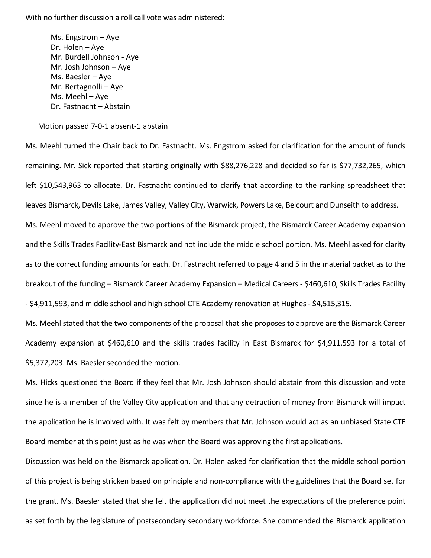Ms. Engstrom – Aye Dr. Holen – Aye Mr. Burdell Johnson - Aye Mr. Josh Johnson – Aye Ms. Baesler – Aye Mr. Bertagnolli – Aye Ms. Meehl – Aye Dr. Fastnacht – Abstain

Motion passed 7-0-1 absent-1 abstain

Ms. Meehl turned the Chair back to Dr. Fastnacht. Ms. Engstrom asked for clarification for the amount of funds remaining. Mr. Sick reported that starting originally with \$88,276,228 and decided so far is \$77,732,265, which left \$10,543,963 to allocate. Dr. Fastnacht continued to clarify that according to the ranking spreadsheet that leaves Bismarck, Devils Lake, James Valley, Valley City, Warwick, Powers Lake, Belcourt and Dunseith to address. Ms. Meehl moved to approve the two portions of the Bismarck project, the Bismarck Career Academy expansion and the Skills Trades Facility-East Bismarck and not include the middle school portion. Ms. Meehl asked for clarity as to the correct funding amounts for each. Dr. Fastnacht referred to page 4 and 5 in the material packet as to the breakout of the funding – Bismarck Career Academy Expansion – Medical Careers - \$460,610, Skills Trades Facility - \$4,911,593, and middle school and high school CTE Academy renovation at Hughes - \$4,515,315.

Ms. Meehl stated that the two components of the proposal that she proposes to approve are the Bismarck Career Academy expansion at \$460,610 and the skills trades facility in East Bismarck for \$4,911,593 for a total of \$5,372,203. Ms. Baesler seconded the motion.

Ms. Hicks questioned the Board if they feel that Mr. Josh Johnson should abstain from this discussion and vote since he is a member of the Valley City application and that any detraction of money from Bismarck will impact the application he is involved with. It was felt by members that Mr. Johnson would act as an unbiased State CTE Board member at this point just as he was when the Board was approving the first applications.

Discussion was held on the Bismarck application. Dr. Holen asked for clarification that the middle school portion of this project is being stricken based on principle and non-compliance with the guidelines that the Board set for the grant. Ms. Baesler stated that she felt the application did not meet the expectations of the preference point as set forth by the legislature of postsecondary secondary workforce. She commended the Bismarck application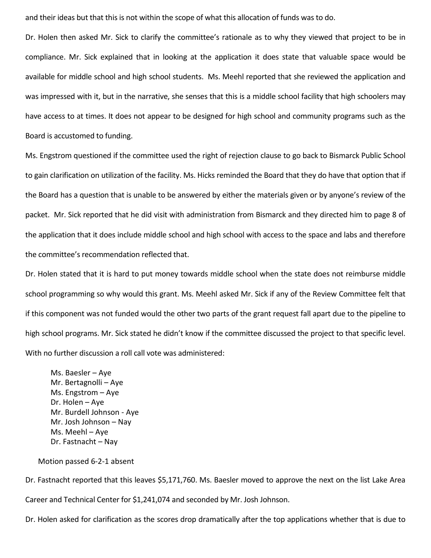and their ideas but that this is not within the scope of what this allocation of funds was to do.

Dr. Holen then asked Mr. Sick to clarify the committee's rationale as to why they viewed that project to be in compliance. Mr. Sick explained that in looking at the application it does state that valuable space would be available for middle school and high school students. Ms. Meehl reported that she reviewed the application and was impressed with it, but in the narrative, she senses that this is a middle school facility that high schoolers may have access to at times. It does not appear to be designed for high school and community programs such as the Board is accustomed to funding.

Ms. Engstrom questioned if the committee used the right of rejection clause to go back to Bismarck Public School to gain clarification on utilization of the facility. Ms. Hicks reminded the Board that they do have that option that if the Board has a question that is unable to be answered by either the materials given or by anyone's review of the packet. Mr. Sick reported that he did visit with administration from Bismarck and they directed him to page 8 of the application that it does include middle school and high school with access to the space and labs and therefore the committee's recommendation reflected that.

Dr. Holen stated that it is hard to put money towards middle school when the state does not reimburse middle school programming so why would this grant. Ms. Meehl asked Mr. Sick if any of the Review Committee felt that if this component was not funded would the other two parts of the grant request fall apart due to the pipeline to high school programs. Mr. Sick stated he didn't know if the committee discussed the project to that specific level. With no further discussion a roll call vote was administered:

Ms. Baesler – Aye Mr. Bertagnolli – Aye Ms. Engstrom – Aye Dr. Holen – Aye Mr. Burdell Johnson - Aye Mr. Josh Johnson – Nay Ms. Meehl – Aye Dr. Fastnacht – Nay

Motion passed 6-2-1 absent

Dr. Fastnacht reported that this leaves \$5,171,760. Ms. Baesler moved to approve the next on the list Lake Area Career and Technical Center for \$1,241,074 and seconded by Mr. Josh Johnson.

Dr. Holen asked for clarification as the scores drop dramatically after the top applications whether that is due to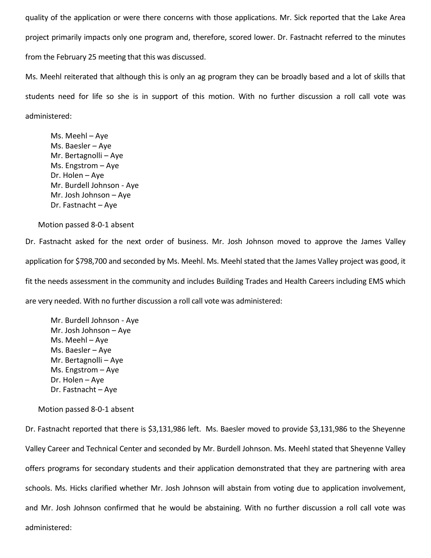quality of the application or were there concerns with those applications. Mr. Sick reported that the Lake Area project primarily impacts only one program and, therefore, scored lower. Dr. Fastnacht referred to the minutes from the February 25 meeting that this was discussed.

Ms. Meehl reiterated that although this is only an ag program they can be broadly based and a lot of skills that students need for life so she is in support of this motion. With no further discussion a roll call vote was administered:

Ms. Meehl – Aye Ms. Baesler – Aye Mr. Bertagnolli – Aye Ms. Engstrom – Aye Dr. Holen – Aye Mr. Burdell Johnson - Aye Mr. Josh Johnson – Aye Dr. Fastnacht – Aye

Motion passed 8-0-1 absent

Dr. Fastnacht asked for the next order of business. Mr. Josh Johnson moved to approve the James Valley application for \$798,700 and seconded by Ms. Meehl. Ms. Meehl stated that the James Valley project was good, it fit the needs assessment in the community and includes Building Trades and Health Careers including EMS which are very needed. With no further discussion a roll call vote was administered:

Mr. Burdell Johnson - Aye Mr. Josh Johnson – Aye Ms. Meehl – Aye Ms. Baesler – Aye Mr. Bertagnolli – Aye Ms. Engstrom – Aye Dr. Holen – Aye Dr. Fastnacht – Aye

Motion passed 8-0-1 absent

Dr. Fastnacht reported that there is \$3,131,986 left. Ms. Baesler moved to provide \$3,131,986 to the Sheyenne Valley Career and Technical Center and seconded by Mr. Burdell Johnson. Ms. Meehl stated that Sheyenne Valley offers programs for secondary students and their application demonstrated that they are partnering with area schools. Ms. Hicks clarified whether Mr. Josh Johnson will abstain from voting due to application involvement, and Mr. Josh Johnson confirmed that he would be abstaining. With no further discussion a roll call vote was administered: